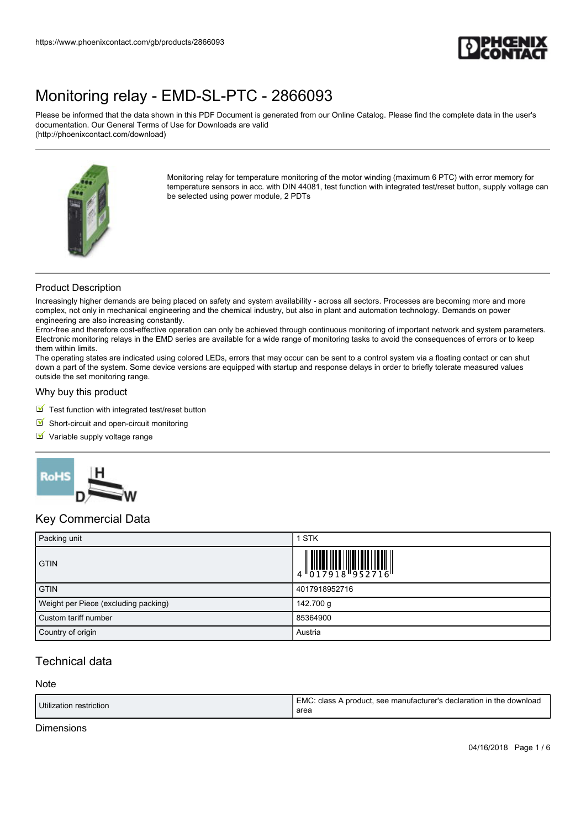

Please be informed that the data shown in this PDF Document is generated from our Online Catalog. Please find the complete data in the user's documentation. Our General Terms of Use for Downloads are valid (http://phoenixcontact.com/download)



Monitoring relay for temperature monitoring of the motor winding (maximum 6 PTC) with error memory for temperature sensors in acc. with DIN 44081, test function with integrated test/reset button, supply voltage can be selected using power module, 2 PDTs

## Product Description

Increasingly higher demands are being placed on safety and system availability - across all sectors. Processes are becoming more and more complex, not only in mechanical engineering and the chemical industry, but also in plant and automation technology. Demands on power engineering are also increasing constantly.

Error-free and therefore cost-effective operation can only be achieved through continuous monitoring of important network and system parameters. Electronic monitoring relays in the EMD series are available for a wide range of monitoring tasks to avoid the consequences of errors or to keep them within limits.

The operating states are indicated using colored LEDs, errors that may occur can be sent to a control system via a floating contact or can shut down a part of the system. Some device versions are equipped with startup and response delays in order to briefly tolerate measured values outside the set monitoring range.

#### Why buy this product

- $\blacksquare$  Test function with integrated test/reset button
- $\blacksquare$  Short-circuit and open-circuit monitoring
- Variable supply voltage range



## Key Commercial Data

| Packing unit                         | 1 STK                                                                                                                                                                                                                                                                                                                       |
|--------------------------------------|-----------------------------------------------------------------------------------------------------------------------------------------------------------------------------------------------------------------------------------------------------------------------------------------------------------------------------|
| <b>GTIN</b>                          | $\begin{array}{c} 1 & 0 & 0 & 0 \\ 0 & 1 & 0 & 1 & 0 \\ 0 & 1 & 0 & 1 & 0 \\ 0 & 0 & 0 & 0 & 0 \\ 0 & 0 & 0 & 0 & 0 \\ 0 & 0 & 0 & 0 & 0 \\ 0 & 0 & 0 & 0 & 0 \\ 0 & 0 & 0 & 0 & 0 \\ 0 & 0 & 0 & 0 & 0 \\ 0 & 0 & 0 & 0 & 0 \\ 0 & 0 & 0 & 0 & 0 & 0 \\ 0 & 0 & 0 & 0 & 0 & 0 \\ 0 & 0 & 0 & 0 & 0 & 0 \\ 0 & 0 & 0 & 0 &$ |
| <b>GTIN</b>                          | 4017918952716                                                                                                                                                                                                                                                                                                               |
| Weight per Piece (excluding packing) | 142.700 g                                                                                                                                                                                                                                                                                                                   |
| Custom tariff number                 | 85364900                                                                                                                                                                                                                                                                                                                    |
| Country of origin                    | Austria                                                                                                                                                                                                                                                                                                                     |

## Technical data

#### Note

| Utilization restriction | (EMC: class A product, see manufacturer's declaration in the download<br>area |
|-------------------------|-------------------------------------------------------------------------------|
|-------------------------|-------------------------------------------------------------------------------|

### Dimensions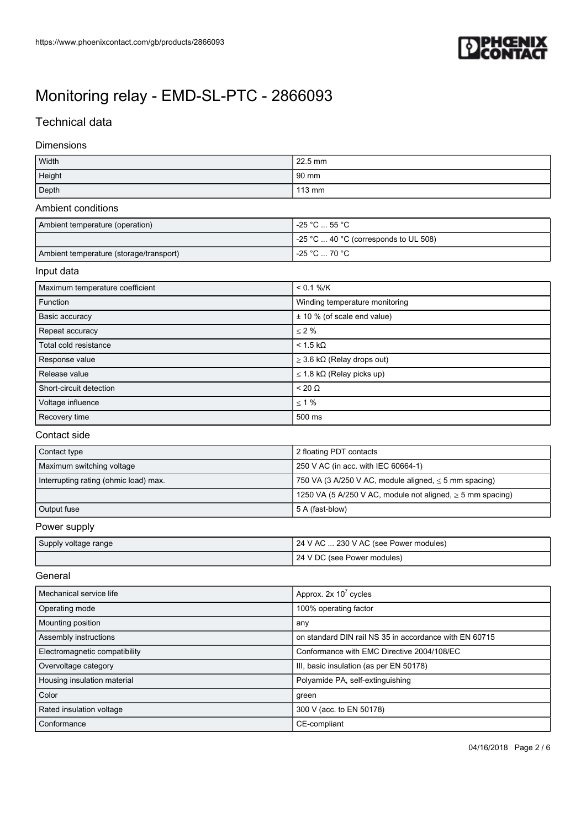

## Technical data

## Dimensions

| Width  | 22.5 mm          |
|--------|------------------|
| Height | $90 \text{ mm}$  |
| Depth  | $113 \text{ mm}$ |

### Ambient conditions

| Ambient temperature (operation)         | $-25 °C \dots 55 °C$                          |
|-----------------------------------------|-----------------------------------------------|
|                                         | $\vert$ -25 °C  40 °C (corresponds to UL 508) |
| Ambient temperature (storage/transport) | $-25 \degree C \dots 70 \degree C$            |

## Input data

| Maximum temperature coefficient | $< 0.1 %$ /K                            |
|---------------------------------|-----------------------------------------|
| Function                        | Winding temperature monitoring          |
| Basic accuracy                  | ± 10 % (of scale end value)             |
| Repeat accuracy                 | $\leq 2\%$                              |
| Total cold resistance           | $< 1.5$ kΩ                              |
| Response value                  | $\geq$ 3.6 k $\Omega$ (Relay drops out) |
| Release value                   | $\leq$ 1.8 k $\Omega$ (Relay picks up)  |
| Short-circuit detection         | $< 20 \Omega$                           |
| Voltage influence               | $\leq 1\%$                              |
| Recovery time                   | 500 ms                                  |

#### Contact side

| Contact type                          | 2 floating PDT contacts                                         |
|---------------------------------------|-----------------------------------------------------------------|
| Maximum switching voltage             | 250 V AC (in acc. with IEC 60664-1)                             |
| Interrupting rating (ohmic load) max. | 750 VA (3 A/250 V AC, module aligned, $\leq$ 5 mm spacing)      |
|                                       | 1250 VA (5 A/250 V AC, module not aligned, $\geq$ 5 mm spacing) |
| Output fuse                           | 5 A (fast-blow)                                                 |

## Power supply

| Supply voltage range | 24 V AC  230 V AC (see Power modules) |
|----------------------|---------------------------------------|
|                      | 24 V DC (see Power modules)           |

## **General**

| Mechanical service life       | Approx. $2x 10^7$ cycles                               |
|-------------------------------|--------------------------------------------------------|
| Operating mode                | 100% operating factor                                  |
| Mounting position             | any                                                    |
| Assembly instructions         | on standard DIN rail NS 35 in accordance with EN 60715 |
| Electromagnetic compatibility | Conformance with EMC Directive 2004/108/EC             |
| Overvoltage category          | III, basic insulation (as per EN 50178)                |
| Housing insulation material   | Polyamide PA, self-extinguishing                       |
| Color                         | green                                                  |
| Rated insulation voltage      | 300 V (acc. to EN 50178)                               |
| Conformance                   | CE-compliant                                           |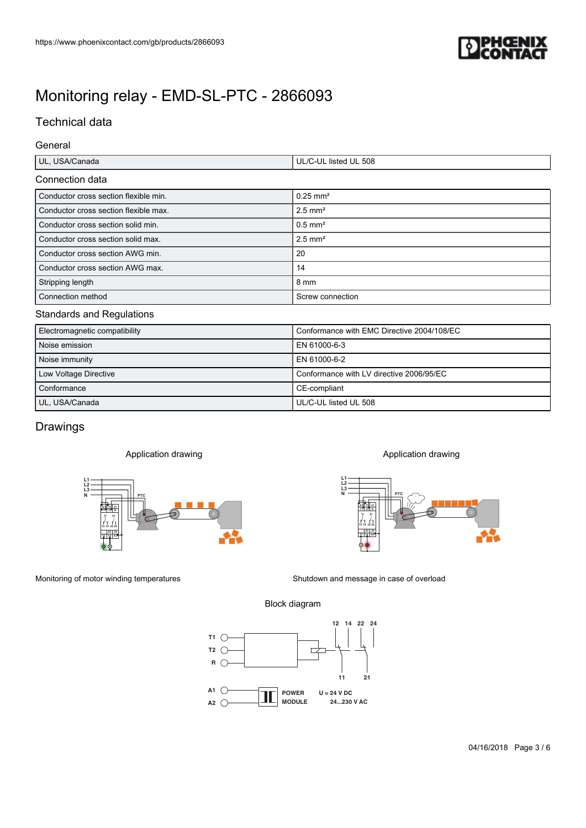

# Technical data

## General

| UL<br>Ganaua<br>. | 508<br>.'' liste⊾<br>UL<br>. |
|-------------------|------------------------------|
|                   |                              |

## Connection data

| https://www.phoenixcontact.com/gb/products/2866093                       |                                                          |
|--------------------------------------------------------------------------|----------------------------------------------------------|
|                                                                          |                                                          |
|                                                                          |                                                          |
| Monitoring relay - EMD-SL-PTC - 2866093                                  |                                                          |
| <b>Technical data</b>                                                    |                                                          |
|                                                                          |                                                          |
| General                                                                  |                                                          |
| UL, USA/Canada                                                           | UL/C-UL listed UL 508                                    |
| Connection data                                                          |                                                          |
| Conductor cross section flexible min.                                    | $0.25$ mm <sup>2</sup>                                   |
| Conductor cross section flexible max.                                    | $2.5$ mm <sup>2</sup>                                    |
| Conductor cross section solid min.<br>Conductor cross section solid max. | $0.5$ mm <sup>2</sup><br>$2.5$ mm <sup>2</sup>           |
| Conductor cross section AWG min.                                         | 20                                                       |
| Conductor cross section AWG max.                                         | 14                                                       |
| Stripping length                                                         | $8 \text{ mm}$                                           |
| Connection method                                                        | Screw connection                                         |
| <b>Standards and Regulations</b>                                         |                                                          |
| Electromagnetic compatibility                                            | Conformance with EMC Directive 2004/108/EC               |
| Noise emission                                                           | EN 61000-6-3                                             |
| Noise immunity                                                           | EN 61000-6-2<br>Conformance with LV directive 2006/95/EC |
| Low Voltage Directive<br>Conformance                                     | CE-compliant                                             |
| UL, USA/Canada                                                           | UL/C-UL listed UL 508                                    |
|                                                                          |                                                          |
| Drawings                                                                 |                                                          |
| Application drawing                                                      | Application drawing                                      |
|                                                                          |                                                          |
| L1<br>L2<br>L3<br>N                                                      | $_{L3}^{L2}$                                             |
|                                                                          |                                                          |
|                                                                          |                                                          |
| $\frac{22}{12}$ $\frac{24}{14}$ AZ<br>I'IV                               | $12$ $14$ $A2$<br>▀▝▀                                    |
|                                                                          | <b>OF A</b>                                              |
|                                                                          |                                                          |
|                                                                          | Shutdown and message in case of overload                 |
|                                                                          |                                                          |
| Monitoring of motor winding temperatures                                 | Block diagram                                            |
|                                                                          | 12 14 22 24                                              |
| $T1 \nC$                                                                 |                                                          |
| $T2 \subset$                                                             |                                                          |
| $R$ $\bigcirc$                                                           | 21<br>11                                                 |
| A1 $($                                                                   | <b>POWER</b><br>$U = 24 V DC$                            |
| A2 (                                                                     | <b>MODULE</b><br>24230 V AC                              |

### Standards and Regulations

| Electromagnetic compatibility | Conformance with EMC Directive 2004/108/EC |
|-------------------------------|--------------------------------------------|
| Noise emission                | EN 61000-6-3                               |
| Noise immunity                | EN 61000-6-2                               |
| Low Voltage Directive         | Conformance with LV directive 2006/95/EC   |
| Conformance                   | CE-compliant                               |
| UL, USA/Canada                | UL/C-UL listed UL 508                      |

# Drawings

### Application drawing





### Block diagram

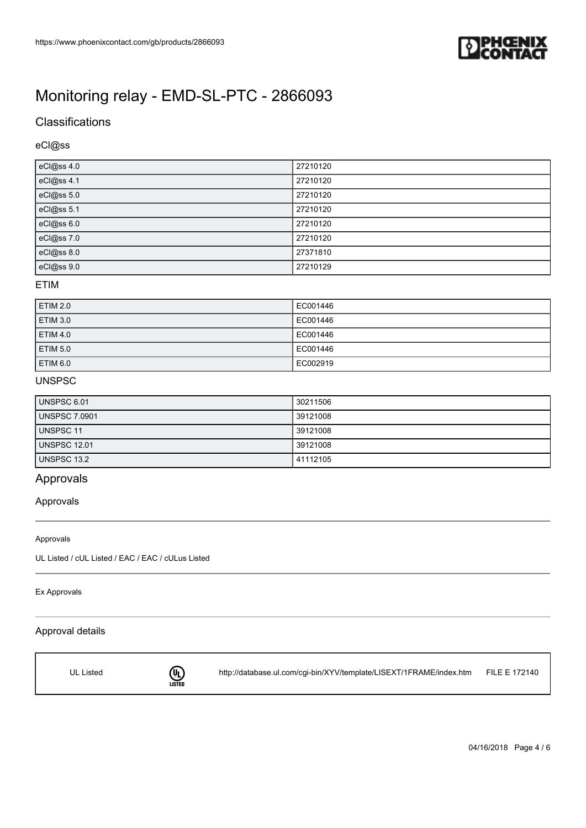

## **Classifications**

## eCl@ss

| eCl@ss 4.0 | 27210120 |
|------------|----------|
| eCl@ss 4.1 | 27210120 |
| eCl@ss 5.0 | 27210120 |
| eCl@ss 5.1 | 27210120 |
| eCl@ss 6.0 | 27210120 |
| eCl@ss 7.0 | 27210120 |
| eCl@ss 8.0 | 27371810 |
| eCl@ss 9.0 | 27210129 |

### ETIM

| <b>ETIM 2.0</b> | EC001446 |
|-----------------|----------|
| <b>ETIM 3.0</b> | EC001446 |
| <b>ETIM 4.0</b> | EC001446 |
| <b>ETIM 5.0</b> | EC001446 |
| <b>ETIM 6.0</b> | EC002919 |

## UNSPSC

| <b>UNSPSC 6.01</b>   | 30211506 |
|----------------------|----------|
| <b>UNSPSC 7.0901</b> | 39121008 |
| UNSPSC 11            | 39121008 |
| <b>UNSPSC 12.01</b>  | 39121008 |
| UNSPSC 13.2          | 41112105 |

## Approvals

## Approvals

#### Approvals

UL Listed / cUL Listed / EAC / EAC / cULus Listed

#### Ex Approvals

## Approval details



<http://database.ul.com/cgi-bin/XYV/template/LISEXT/1FRAME/index.htm> FILE E 172140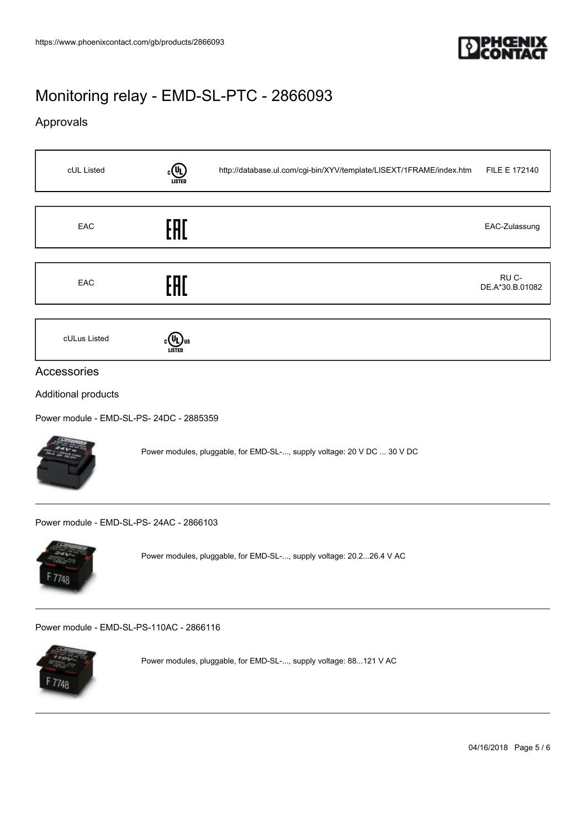

# Approvals

 $F7748$ 

 $\mathbf{r}$ 

| cUL Listed                               |                                                                   | http://database.ul.com/cgi-bin/XYV/template/LISEXT/1FRAME/index.htm     | FILE E 172140            |  |  |
|------------------------------------------|-------------------------------------------------------------------|-------------------------------------------------------------------------|--------------------------|--|--|
|                                          |                                                                   |                                                                         |                          |  |  |
| EAC                                      | EAC                                                               |                                                                         | EAC-Zulassung            |  |  |
|                                          |                                                                   |                                                                         |                          |  |  |
| EAC                                      | EAC                                                               |                                                                         | RU C-<br>DE.A*30.B.01082 |  |  |
|                                          |                                                                   |                                                                         |                          |  |  |
| cULus Listed                             | $c(U_L)$ us                                                       |                                                                         |                          |  |  |
| Accessories                              |                                                                   |                                                                         |                          |  |  |
|                                          |                                                                   |                                                                         |                          |  |  |
| Additional products                      |                                                                   |                                                                         |                          |  |  |
| Power module - EMD-SL-PS- 24DC - 2885359 |                                                                   |                                                                         |                          |  |  |
|                                          |                                                                   | Power modules, pluggable, for EMD-SL-, supply voltage: 20 V DC  30 V DC |                          |  |  |
| Power module - EMD-SL-PS-24AC - 2866103  |                                                                   |                                                                         |                          |  |  |
| 1748                                     |                                                                   | Power modules, pluggable, for EMD-SL-, supply voltage: 20.226.4 V AC    |                          |  |  |
| Power module - EMD-SL-PS-110AC - 2866116 |                                                                   |                                                                         |                          |  |  |
|                                          | Power modules, pluggable, for EMD-SL-, supply voltage: 88121 V AC |                                                                         |                          |  |  |